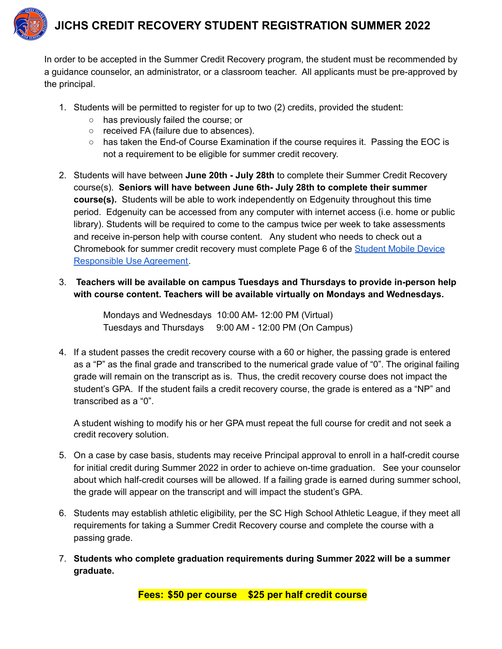

## **JICHS CREDIT RECOVERY STUDENT REGISTRATION SUMMER 2022**

In order to be accepted in the Summer Credit Recovery program, the student must be recommended by a guidance counselor, an administrator, or a classroom teacher. All applicants must be pre-approved by the principal.

- 1. Students will be permitted to register for up to two (2) credits, provided the student:
	- has previously failed the course; or
	- received FA (failure due to absences).
	- $\circ$  has taken the End-of Course Examination if the course requires it. Passing the EOC is not a requirement to be eligible for summer credit recovery.
- 2. Students will have between **June 20th - July 28th** to complete their Summer Credit Recovery course(s). **Seniors will have between June 6th- July 28th to complete their summer course(s).** Students will be able to work independently on Edgenuity throughout this time period. Edgenuity can be accessed from any computer with internet access (i.e. home or public library). Students will be required to come to the campus twice per week to take assessments and receive in-person help with course content. Any student who needs to check out a Chromebook for summer credit recovery must complete Page 6 of the [Student](https://docs.google.com/document/d/1HlJq7TiRYtFfrVbceqvYyFTxP_d0CRyo9o4mkuPA3dE/edit?usp=sharing) Mobile Device [Responsible](https://docs.google.com/document/d/1HlJq7TiRYtFfrVbceqvYyFTxP_d0CRyo9o4mkuPA3dE/edit?usp=sharing) Use Agreement.
- 3. **Teachers will be available on campus Tuesdays and Thursdays to provide in-person help with course content. Teachers will be available virtually on Mondays and Wednesdays.**

Mondays and Wednesdays 10:00 AM- 12:00 PM (Virtual) Tuesdays and Thursdays 9:00 AM - 12:00 PM (On Campus)

4. If a student passes the credit recovery course with a 60 or higher, the passing grade is entered as a "P" as the final grade and transcribed to the numerical grade value of "0". The original failing grade will remain on the transcript as is. Thus, the credit recovery course does not impact the student's GPA. If the student fails a credit recovery course, the grade is entered as a "NP" and transcribed as a "0".

A student wishing to modify his or her GPA must repeat the full course for credit and not seek a credit recovery solution.

- 5. On a case by case basis, students may receive Principal approval to enroll in a half-credit course for initial credit during Summer 2022 in order to achieve on-time graduation. See your counselor about which half-credit courses will be allowed. If a failing grade is earned during summer school, the grade will appear on the transcript and will impact the student's GPA.
- 6. Students may establish athletic eligibility, per the SC High School Athletic League, if they meet all requirements for taking a Summer Credit Recovery course and complete the course with a passing grade.
- 7. **Students who complete graduation requirements during Summer 2022 will be a summer graduate.**

**Fees: \$50 per course \$25 per half credit course**